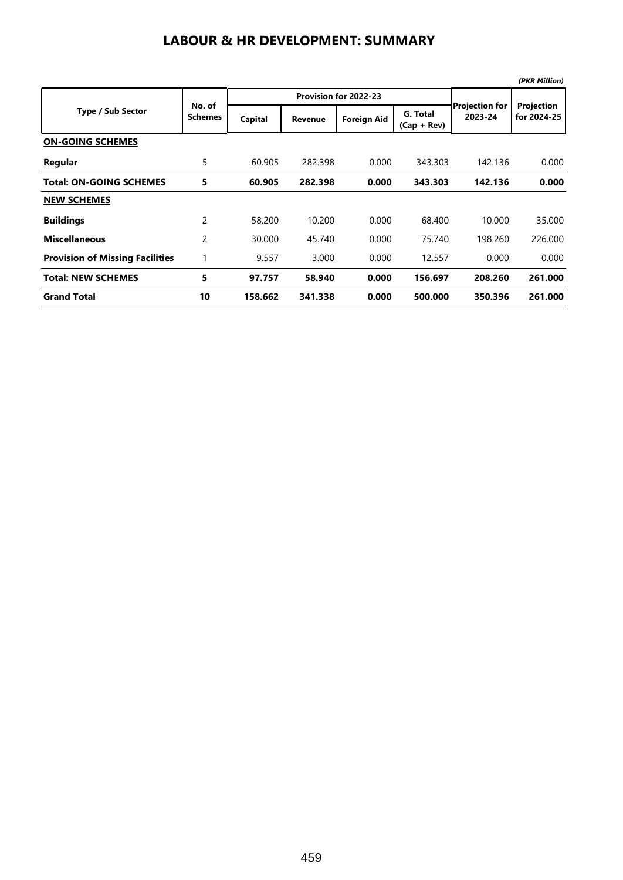## **LABOUR & HR DEVELOPMENT: SUMMARY**

|                                        |                          |         |                       |                    |                           |                                  | (PKR Million)             |
|----------------------------------------|--------------------------|---------|-----------------------|--------------------|---------------------------|----------------------------------|---------------------------|
|                                        | No. of<br><b>Schemes</b> |         | Provision for 2022-23 |                    |                           |                                  |                           |
| <b>Type / Sub Sector</b>               |                          | Capital | <b>Revenue</b>        | <b>Foreign Aid</b> | G. Total<br>$(Cap + Rev)$ | <b>Projection for</b><br>2023-24 | Projection<br>for 2024-25 |
| <b>ON-GOING SCHEMES</b>                |                          |         |                       |                    |                           |                                  |                           |
| Regular                                | 5                        | 60.905  | 282.398               | 0.000              | 343.303                   | 142.136                          | 0.000                     |
| <b>Total: ON-GOING SCHEMES</b>         | 5                        | 60.905  | 282.398               | 0.000              | 343.303                   | 142.136                          | 0.000                     |
| <b>NEW SCHEMES</b>                     |                          |         |                       |                    |                           |                                  |                           |
| <b>Buildings</b>                       | $\overline{c}$           | 58.200  | 10.200                | 0.000              | 68.400                    | 10.000                           | 35.000                    |
| <b>Miscellaneous</b>                   | 2                        | 30.000  | 45.740                | 0.000              | 75.740                    | 198.260                          | 226,000                   |
| <b>Provision of Missing Facilities</b> | 1                        | 9.557   | 3.000                 | 0.000              | 12.557                    | 0.000                            | 0.000                     |
| <b>Total: NEW SCHEMES</b>              | 5                        | 97.757  | 58.940                | 0.000              | 156.697                   | 208.260                          | 261.000                   |
| <b>Grand Total</b>                     | 10                       | 158.662 | 341.338               | 0.000              | 500.000                   | 350.396                          | 261.000                   |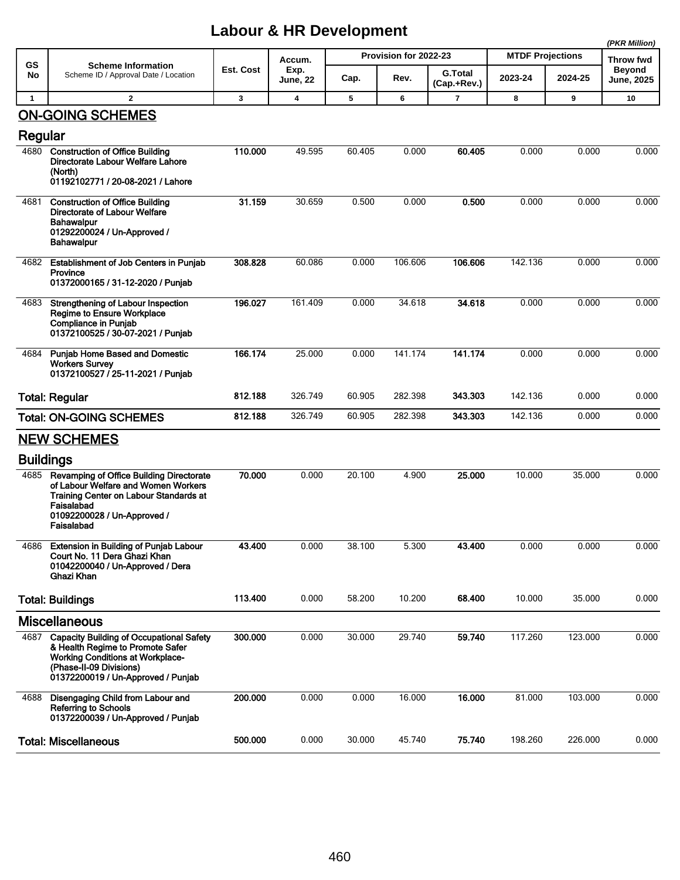## **Labour & HR Development**

|                  |                                                                                                                                                                                                 |           |                            |                       |         |                               |                         |         | (PKR Million)                      |
|------------------|-------------------------------------------------------------------------------------------------------------------------------------------------------------------------------------------------|-----------|----------------------------|-----------------------|---------|-------------------------------|-------------------------|---------|------------------------------------|
| <b>GS</b><br>No  | <b>Scheme Information</b><br>Scheme ID / Approval Date / Location                                                                                                                               | Est. Cost | Accum.<br>Exp.<br>June, 22 | Provision for 2022-23 |         |                               | <b>MTDF Projections</b> |         | Throw fwd                          |
|                  |                                                                                                                                                                                                 |           |                            | Cap.                  | Rev.    | <b>G.Total</b><br>(Cap.+Rev.) | 2023-24                 | 2024-25 | <b>Beyond</b><br><b>June, 2025</b> |
| $\mathbf{1}$     | $\mathbf{2}$                                                                                                                                                                                    | 3         | $\overline{\mathbf{4}}$    | 5                     | 6       | $\overline{7}$                | 8                       | 9       | 10                                 |
|                  | <b>ON-GOING SCHEMES</b>                                                                                                                                                                         |           |                            |                       |         |                               |                         |         |                                    |
| Regular          |                                                                                                                                                                                                 |           |                            |                       |         |                               |                         |         |                                    |
| 4680             | <b>Construction of Office Building</b><br>Directorate Labour Welfare Lahore<br>(North)<br>01192102771 / 20-08-2021 / Lahore                                                                     | 110.000   | 49.595                     | 60.405                | 0.000   | 60.405                        | 0.000                   | 0.000   | 0.000                              |
| 4681             | <b>Construction of Office Building</b><br><b>Directorate of Labour Welfare</b><br>Bahawalpur<br>01292200024 / Un-Approved /<br><b>Bahawalpur</b>                                                | 31.159    | 30.659                     | 0.500                 | 0.000   | 0.500                         | 0.000                   | 0.000   | 0.000                              |
| 4682             | <b>Establishment of Job Centers in Punjab</b><br>Province<br>01372000165 / 31-12-2020 / Punjab                                                                                                  | 308.828   | 60.086                     | 0.000                 | 106.606 | 106.606                       | 142.136                 | 0.000   | 0.000                              |
| 4683             | Strengthening of Labour Inspection<br><b>Regime to Ensure Workplace</b><br><b>Compliance in Punjab</b><br>01372100525 / 30-07-2021 / Punjab                                                     | 196.027   | 161.409                    | 0.000                 | 34.618  | 34.618                        | 0.000                   | 0.000   | 0.000                              |
| 4684             | <b>Punjab Home Based and Domestic</b><br><b>Workers Survey</b><br>01372100527 / 25-11-2021 / Punjab                                                                                             | 166.174   | 25.000                     | 0.000                 | 141.174 | 141.174                       | 0.000                   | 0.000   | 0.000                              |
|                  | <b>Total: Regular</b>                                                                                                                                                                           | 812.188   | 326.749                    | 60.905                | 282.398 | 343.303                       | 142.136                 | 0.000   | 0.000                              |
|                  | <b>Total: ON-GOING SCHEMES</b>                                                                                                                                                                  | 812.188   | 326.749                    | 60.905                | 282.398 | 343.303                       | 142.136                 | 0.000   | 0.000                              |
|                  | <b>NEW SCHEMES</b>                                                                                                                                                                              |           |                            |                       |         |                               |                         |         |                                    |
| <b>Buildings</b> |                                                                                                                                                                                                 |           |                            |                       |         |                               |                         |         |                                    |
| 4685             | Revamping of Office Building Directorate<br>of Labour Welfare and Women Workers<br>Training Center on Labour Standards at<br>Faisalabad<br>01092200028 / Un-Approved /<br>Faisalabad            | 70.000    | 0.000                      | 20.100                | 4.900   | 25.000                        | 10.000                  | 35.000  | 0.000                              |
| 4686             | <b>Extension in Building of Punjab Labour</b><br>Court No. 11 Dera Ghazi Khan<br>01042200040 / Un-Approved / Dera<br>Ghazi Khan                                                                 | 43.400    | 0.000                      | 38.100                | 5.300   | 43.400                        | 0.000                   | 0.000   | 0.000                              |
|                  | <b>Total: Buildings</b>                                                                                                                                                                         | 113.400   | 0.000                      | 58.200                | 10.200  | 68.400                        | 10.000                  | 35.000  | 0.000                              |
|                  | <b>Miscellaneous</b>                                                                                                                                                                            |           |                            |                       |         |                               |                         |         |                                    |
| 4687             | <b>Capacity Building of Occupational Safety</b><br>& Health Regime to Promote Safer<br><b>Working Conditions at Workplace-</b><br>(Phase-II-09 Divisions)<br>01372200019 / Un-Approved / Punjab | 300.000   | 0.000                      | 30.000                | 29.740  | 59.740                        | 117.260                 | 123.000 | 0.000                              |
| 4688             | Disengaging Child from Labour and<br><b>Referring to Schools</b><br>01372200039 / Un-Approved / Punjab                                                                                          | 200.000   | 0.000                      | 0.000                 | 16.000  | 16.000                        | 81.000                  | 103.000 | 0.000                              |
|                  | <b>Total: Miscellaneous</b>                                                                                                                                                                     | 500.000   | 0.000                      | 30.000                | 45.740  | 75.740                        | 198.260                 | 226.000 | 0.000                              |